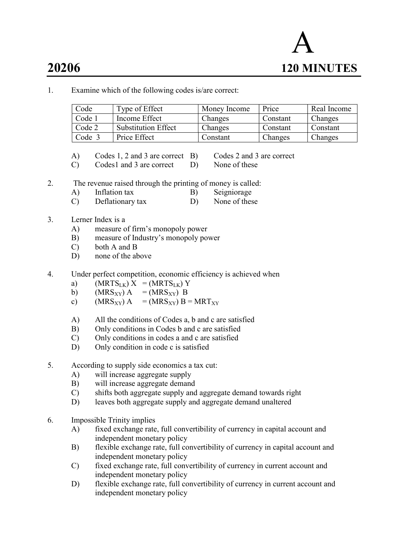

1. Examine which of the following codes is/are correct:

| Code   | Type of Effect             | Money Income | Price    | Real Income |
|--------|----------------------------|--------------|----------|-------------|
| Code 1 | Income Effect              | Changes      | Constant | Changes     |
| Code 2 | <b>Substitution Effect</b> | Changes      | Constant | Constant    |
| Code 3 | Price Effect               | Constant     | Changes  | Changes     |

- A) Codes 1, 2 and 3 are correct B) Codes 2 and 3 are correct
- C) Codes1 and 3 are correct D) None of these
- 
- 
- 2. The revenue raised through the printing of money is called: A) Inflation tax B) Seigniorage
	- C) Deflationary tax D) None of these
- 3. Lerner Index is a
	- A) measure of firm's monopoly power
	- B) measure of Industry's monopoly power
	- C) both A and B
	- D) none of the above
- 4. Under perfect competition, economic efficiency is achieved when
	- a)  $(MRTS_{LK}) X = (MRTS_{LK}) Y$
	- b)  $(MRS_{XY}) A = (MRS_{XY}) B$ <br>c)  $(MRS_{XY}) A = (MRS_{XY}) B$
	- c) (MRS<sub>XY</sub>) A = (MRS<sub>XY</sub>) B = MRT<sub>XY</sub>
	- A) All the conditions of Codes a, b and c are satisfied
	- B) Only conditions in Codes b and c are satisfied
	- C) Only conditions in codes a and c are satisfied
	- D) Only condition in code c is satisfied
- 5. According to supply side economics a tax cut:
	- A) will increase aggregate supply
	- B) will increase aggregate demand
	- C) shifts both aggregate supply and aggregate demand towards right
	- D) leaves both aggregate supply and aggregate demand unaltered
- 6. Impossible Trinity implies
	- A) fixed exchange rate, full convertibility of currency in capital account and independent monetary policy
	- B) flexible exchange rate, full convertibility of currency in capital account and independent monetary policy
	- C) fixed exchange rate, full convertibility of currency in current account and independent monetary policy
	- D) flexible exchange rate, full convertibility of currency in current account and independent monetary policy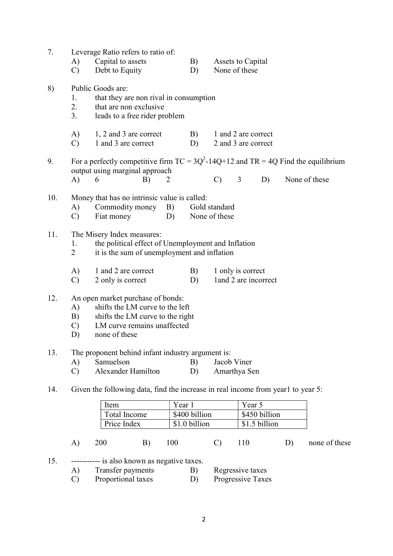| 7.  | A)<br>$\mathcal{C}$             | Leverage Ratio refers to ratio of:<br>Capital to assets<br>Debt to Equity                                                                                |          | B)<br>D)      |                                | Assets to Capital<br>None of these         |    |               |
|-----|---------------------------------|----------------------------------------------------------------------------------------------------------------------------------------------------------|----------|---------------|--------------------------------|--------------------------------------------|----|---------------|
| 8)  | 1.<br>2.<br>3.                  | Public Goods are:<br>that they are non rival in consumption<br>that are non exclusive<br>leads to a free rider problem                                   |          |               |                                |                                            |    |               |
|     | A)<br>$\mathcal{C}$             | 1, 2 and 3 are correct<br>1 and 3 are correct                                                                                                            |          | B)<br>D)      |                                | 1 and 2 are correct<br>2 and 3 are correct |    |               |
| 9.  |                                 | For a perfectly competitive firm $TC = 3Q^2 - 14Q + 12$ and $TR = 4Q$ Find the equilibrium<br>output using marginal approach                             |          |               |                                |                                            |    |               |
|     | A)                              | 6<br>B)                                                                                                                                                  | 2        |               | $\mathcal{C}$                  | 3<br>D)                                    |    | None of these |
| 10. | A)<br>$\mathcal{C}$             | Money that has no intrinsic value is called:<br>Commodity money<br>Fiat money                                                                            | B)<br>D) |               | Gold standard<br>None of these |                                            |    |               |
| 11. | 1.<br>$\overline{2}$            | The Misery Index measures:<br>the political effect of Unemployment and Inflation<br>it is the sum of unemployment and inflation                          |          |               |                                |                                            |    |               |
|     | A)<br>$\mathcal{C}$             | 1 and 2 are correct<br>2 only is correct                                                                                                                 |          | B)<br>D)      |                                | 1 only is correct<br>land 2 are incorrect  |    |               |
| 12. | A)<br>B)<br>$\mathcal{C}$<br>D) | An open market purchase of bonds:<br>shifts the LM curve to the left<br>shifts the LM curve to the right<br>LM curve remains unaffected<br>none of these |          |               |                                |                                            |    |               |
| 13. | A)<br>$\mathcal{C}$             | The proponent behind infant industry argument is:<br>Samuelson<br>Alexander Hamilton                                                                     |          | B)<br>D)      | Jacob Viner                    | Amarthya Sen                               |    |               |
| 14. |                                 | Given the following data, find the increase in real income from year1 to year 5:                                                                         |          |               |                                |                                            |    |               |
|     |                                 |                                                                                                                                                          |          | Year 1        |                                | Year 5                                     |    |               |
|     |                                 | Item<br>Total Income                                                                                                                                     |          | \$400 billion |                                | \$450 billion                              |    |               |
|     |                                 | Price Index                                                                                                                                              |          | \$1.0 billion |                                | \$1.5 billion                              |    |               |
|     | A)                              | 200<br>B)                                                                                                                                                | 100      |               | $\mathcal{C}$                  | 110                                        | D) | none of these |
| 15. |                                 | ----------- is also known as negative taxes.                                                                                                             |          |               |                                |                                            |    |               |

| A) | Transfer payments  | Regressive taxes         |
|----|--------------------|--------------------------|
|    | Proportional taxes | <b>Progressive Taxes</b> |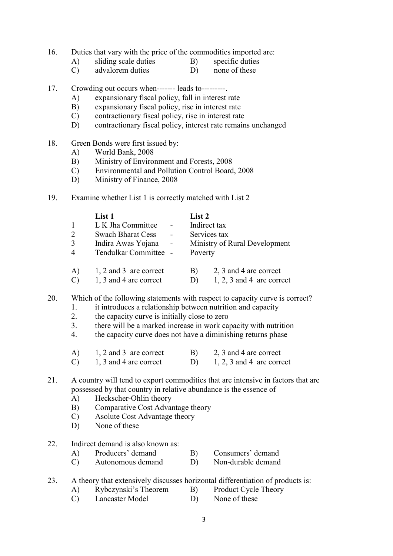- 16. Duties that vary with the price of the commodities imported are:
	-
- 
- A) sliding scale duties B) specific duties<br>
C) advalorem duties D) none of these  $(C)$  advalorem duties  $(D)$
- 17. Crowding out occurs when------- leads to---------.
	- A) expansionary fiscal policy, fall in interest rate
	- B) expansionary fiscal policy, rise in interest rate
	- C) contractionary fiscal policy, rise in interest rate
	- D) contractionary fiscal policy, interest rate remains unchanged
- 18. Green Bonds were first issued by:
	- A) World Bank, 2008
	- B) Ministry of Environment and Forests, 2008
	- C) Environmental and Pollution Control Board, 2008
	- D) Ministry of Finance, 2008
- 19. Examine whether List 1 is correctly matched with List 2

|                | List 1                   |                | List 2       |                               |
|----------------|--------------------------|----------------|--------------|-------------------------------|
|                | L K Jha Committee        |                | Indirect tax |                               |
| 2              | <b>Swach Bharat Cess</b> | $\blacksquare$ | Services tax |                               |
| 3              | Indira Awas Yojana       | $\sim$ $-$     |              | Ministry of Rural Development |
| $\overline{4}$ | Tendulkar Committee -    |                | Poverty      |                               |
| A)             | 1, 2 and 3 are correct   |                | B)           | 2, 3 and 4 are correct        |
|                | 1, 3 and 4 are correct   |                | D)           | $1, 2, 3$ and 4 are correct   |

- 20. Which of the following statements with respect to capacity curve is correct?
	- 1. it introduces a relationship between nutrition and capacity
	- 2. the capacity curve is initially close to zero
	- 3. there will be a marked increase in work capacity with nutrition
	- 4. the capacity curve does not have a diminishing returns phase

| 1, 2 and 3 are correct | 2, 3 and 4 are correct      |
|------------------------|-----------------------------|
| 1, 3 and 4 are correct | $1, 2, 3$ and 4 are correct |

# 21. A country will tend to export commodities that are intensive in factors that are possessed by that country in relative abundance is the essence of

- A) Heckscher-Ohlin theory
- B) Comparative Cost Advantage theory
- C) Asolute Cost Advantage theory
- D) None of these

# 22. Indirect demand is also known as:

- A) Producers' demand B) Consumers' demand
- C) Autonomous demand D) Non-durable demand

23. A theory that extensively discusses horizontal differentiation of products is:

- A) Rybczynski's Theorem B) Product Cycle Theory
- C) Lancaster Model D) None of these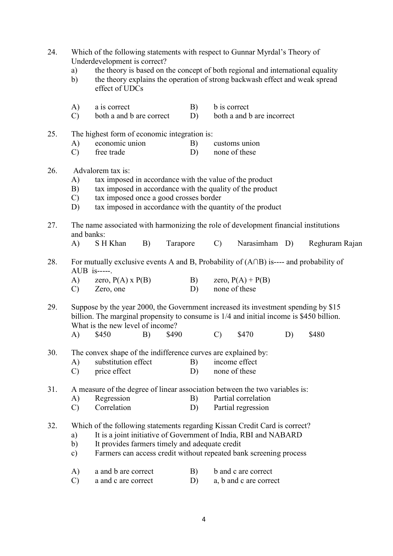| 24. | a)<br>$\mathbf{b}$                                                                                                                                                                                                                                                                   | Which of the following statements with respect to Gunnar Myrdal's Theory of<br>Underdevelopment is correct?<br>the theory is based on the concept of both regional and international equality<br>the theory explains the operation of strong backwash effect and weak spread<br>effect of UDCs |    |          |          |                     |                                      |    |                |  |
|-----|--------------------------------------------------------------------------------------------------------------------------------------------------------------------------------------------------------------------------------------------------------------------------------------|------------------------------------------------------------------------------------------------------------------------------------------------------------------------------------------------------------------------------------------------------------------------------------------------|----|----------|----------|---------------------|--------------------------------------|----|----------------|--|
|     | A)<br>$\mathcal{C}$                                                                                                                                                                                                                                                                  | a is correct<br>both a and b are correct                                                                                                                                                                                                                                                       |    |          | B)<br>D) | <b>b</b> is correct | both a and b are incorrect           |    |                |  |
| 25. |                                                                                                                                                                                                                                                                                      | The highest form of economic integration is:                                                                                                                                                                                                                                                   |    |          |          |                     |                                      |    |                |  |
|     | A)<br>$\mathcal{C}$                                                                                                                                                                                                                                                                  | economic union<br>free trade                                                                                                                                                                                                                                                                   |    |          | B)<br>D) |                     | customs union<br>none of these       |    |                |  |
| 26. | Advalorem tax is:<br>tax imposed in accordance with the value of the product<br>A)<br>tax imposed in accordance with the quality of the product<br>B)<br>tax imposed once a good crosses border<br>$\mathcal{C}$<br>tax imposed in accordance with the quantity of the product<br>D) |                                                                                                                                                                                                                                                                                                |    |          |          |                     |                                      |    |                |  |
| 27. | and banks:                                                                                                                                                                                                                                                                           | The name associated with harmonizing the role of development financial institutions                                                                                                                                                                                                            |    |          |          |                     |                                      |    |                |  |
|     | $\bf{A}$                                                                                                                                                                                                                                                                             | S H Khan                                                                                                                                                                                                                                                                                       | B) | Tarapore |          | $\mathcal{C}$       | Narasimham                           | D) | Reghuram Rajan |  |
| 28. | A)<br>$\mathcal{C}$                                                                                                                                                                                                                                                                  | For mutually exclusive events A and B, Probability of $(A \cap B)$ is---- and probability of<br>$AUB$ is-----.<br>zero, $P(A)$ x $P(B)$<br>Zero, one                                                                                                                                           |    |          | B)<br>D) |                     | zero, $P(A) + P(B)$<br>none of these |    |                |  |
| 29. |                                                                                                                                                                                                                                                                                      | Suppose by the year 2000, the Government increased its investment spending by \$15<br>billion. The marginal propensity to consume is 1/4 and initial income is \$450 billion.<br>What is the new level of income?                                                                              |    |          |          |                     |                                      |    |                |  |
|     | A)                                                                                                                                                                                                                                                                                   | \$450                                                                                                                                                                                                                                                                                          | B) | \$490    |          | $\mathcal{C}$       | \$470                                | D) | \$480          |  |
| 30. |                                                                                                                                                                                                                                                                                      | The convex shape of the indifference curves are explained by:                                                                                                                                                                                                                                  |    |          |          |                     |                                      |    |                |  |
|     | A)                                                                                                                                                                                                                                                                                   | substitution effect                                                                                                                                                                                                                                                                            |    |          | B)       |                     | income effect                        |    |                |  |
|     | $\mathcal{C}$                                                                                                                                                                                                                                                                        | price effect                                                                                                                                                                                                                                                                                   |    |          | D)       |                     | none of these                        |    |                |  |
| 31. |                                                                                                                                                                                                                                                                                      | A measure of the degree of linear association between the two variables is:                                                                                                                                                                                                                    |    |          |          |                     |                                      |    |                |  |
|     | A)                                                                                                                                                                                                                                                                                   | Regression                                                                                                                                                                                                                                                                                     |    |          | B)       |                     | Partial correlation                  |    |                |  |
|     | $\mathcal{C}$                                                                                                                                                                                                                                                                        | Correlation                                                                                                                                                                                                                                                                                    |    |          | D)       |                     | Partial regression                   |    |                |  |
| 32. | a)<br>$\mathbf{b}$<br>$\mathbf{c})$                                                                                                                                                                                                                                                  | Which of the following statements regarding Kissan Credit Card is correct?<br>It is a joint initiative of Government of India, RBI and NABARD<br>It provides farmers timely and adequate credit<br>Farmers can access credit without repeated bank screening process                           |    |          |          |                     |                                      |    |                |  |
|     | A)                                                                                                                                                                                                                                                                                   | a and b are correct                                                                                                                                                                                                                                                                            |    |          | B)       |                     | b and c are correct                  |    |                |  |
|     | $\mathcal{C}$                                                                                                                                                                                                                                                                        | a and c are correct                                                                                                                                                                                                                                                                            |    |          | D)       |                     | a, b and c are correct               |    |                |  |
|     |                                                                                                                                                                                                                                                                                      |                                                                                                                                                                                                                                                                                                |    |          |          |                     |                                      |    |                |  |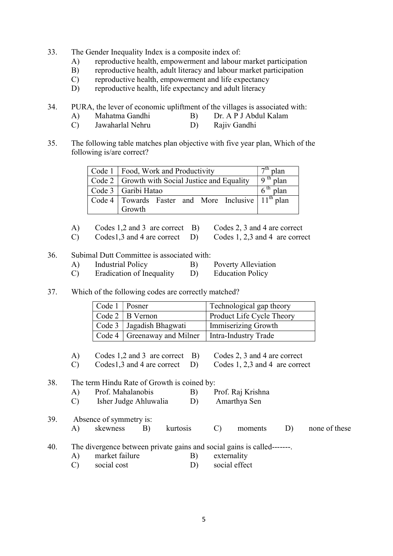- 33. The Gender Inequality Index is a composite index of:
	- A) reproductive health, empowerment and labour market participation
	- B) reproductive health, adult literacy and labour market participation
	- C) reproductive health, empowerment and life expectancy
	- D) reproductive health, life expectancy and adult literacy
- 34. PURA, the lever of economic upliftment of the villages is associated with:
	- A) Mahatma Gandhi B) Dr. A P J Abdul Kalam
	- C) Jawaharlal Nehru D) Rajiv Gandhi
- 35. The following table matches plan objective with five year plan, Which of the following is/are correct?

| Code 1   Food, Work and Productivity                                                   | $7th$ plan |
|----------------------------------------------------------------------------------------|------------|
| $\vert$ Code 2 $\vert$ Growth with Social Justice and Equality                         | $9th$ plan |
| Code 3 Garibi Hatao                                                                    | $6th$ plan |
| $\vert$ Code 4 $\vert$ Towards Faster and More Inclusive $\vert$ 11 <sup>th</sup> plan |            |
| Growth                                                                                 |            |

- A) Codes 1,2 and 3 are correct B) Codes 2, 3 and 4 are correct
	-
- C) Codes1,3 and 4 are correct D) Codes 1, 2,3 and 4 are correct
- 36. Subimal Dutt Committee is associated with:
	- A) Industrial Policy B) Poverty Alleviation
	- C) Eradication of Inequality D) Education Policy

#### 37. Which of the following codes are correctly matched?

| Code $1 \mid \text{Posner}$ |                                                      | Technological gap theory  |
|-----------------------------|------------------------------------------------------|---------------------------|
|                             | Code $2   B$ Vernon                                  | Product Life Cycle Theory |
|                             | Code 3   Jagadish Bhagwati                           | Immiserizing Growth       |
|                             | Code 4   Greenaway and Milner   Intra-Industry Trade |                           |

- A) Codes 1,2 and 3 are correct B) Codes 2, 3 and 4 are correct
- C) Codes1,3 and 4 are correct D) Codes 1, 2,3 and 4 are correct

#### 38. The term Hindu Rate of Growth is coined by:

- A) Prof. Mahalanobis B) Prof. Raj Krishna
- C) Isher Judge Ahluwalia D) Amarthya Sen
- 39. Absence of symmetry is: A) skewness B) kurtosis C) moments D) none of these 40. The divergence between private gains and social gains is called-------. A) market failure B) externality
	- C) social cost D) social effect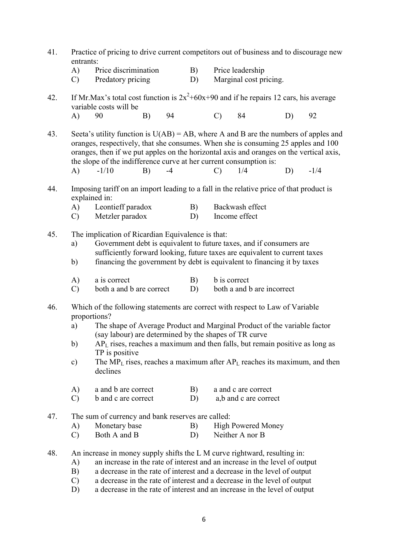- 41. Practice of pricing to drive current competitors out of business and to discourage new entrants:
	- A) Price discrimination B) Price leadership
	- C) Predatory pricing D) Marginal cost pricing.
- 42. If Mr.Max's total cost function is  $2x^2+60x+90$  and if he repairs 12 cars, his average variable costs will be
- A) 90 B) 94 C) 84 D) 92
- 43. Seeta's utility function is  $U(AB) = AB$ , where A and B are the numbers of apples and oranges, respectively, that she consumes. When she is consuming 25 apples and 100 oranges, then if we put apples on the horizontal axis and oranges on the vertical axis, the slope of the indifference curve at her current consumption is: A) -1/10 B) -4 C) 1/4 D) -1/4
- 44. Imposing tariff on an import leading to a fall in the relative price of that product is explained in:
	- A) Leontieff paradox B) Backwash effect C) Metzler paradox D) Income effect
- 45. The implication of Ricardian Equivalence is that:
	- a) Government debt is equivalent to future taxes, and if consumers are sufficiently forward looking, future taxes are equivalent to current taxes
	- b) financing the government by debt is equivalent to financing it by taxes
	- A) a is correct B) b is correct
	- C) both a and b are correct D) both a and b are incorrect
- 46. Which of the following statements are correct with respect to Law of Variable proportions?
	- a) The shape of Average Product and Marginal Product of the variable factor (say labour) are determined by the shapes of TR curve
	- b) APL rises, reaches a maximum and then falls, but remain positive as long as TP is positive
	- c) The MP<sub>L</sub> rises, reaches a maximum after  $AP<sub>L</sub>$  reaches its maximum, and then declines
	- A) a and b are correct B) a and c are correct
	- C) b and c are correct D) a,b and c are correct
- 47. The sum of currency and bank reserves are called:
	- A) Monetary base B) High Powered Money
	- C) Both A and B D) Neither A nor B
- 48. An increase in money supply shifts the L M curve rightward, resulting in:
	- A) an increase in the rate of interest and an increase in the level of output
	- B) a decrease in the rate of interest and a decrease in the level of output
	- C) a decrease in the rate of interest and a decrease in the level of output
	- D) a decrease in the rate of interest and an increase in the level of output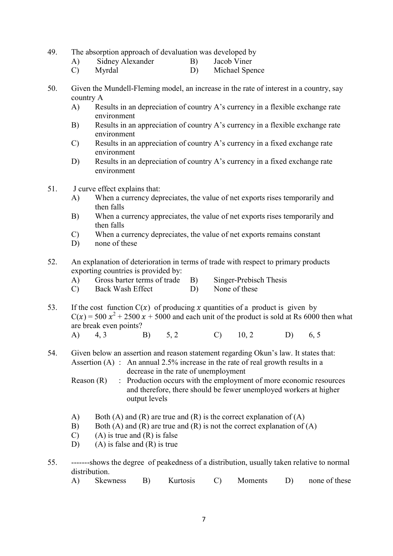- 49. The absorption approach of devaluation was developed by
	- A) Sidney Alexander B) Jacob Viner
	- C) Myrdal D) Michael Spence
- 50. Given the Mundell-Fleming model, an increase in the rate of interest in a country, say country A
	- A) Results in an depreciation of country A's currency in a flexible exchange rate environment
	- B) Results in an appreciation of country A's currency in a flexible exchange rate environment
	- C) Results in an appreciation of country A's currency in a fixed exchange rate environment
	- D) Results in an depreciation of country A's currency in a fixed exchange rate environment
- 51. J curve effect explains that:
	- A) When a currency depreciates, the value of net exports rises temporarily and then falls
	- B) When a currency appreciates, the value of net exports rises temporarily and then falls
	- C) When a currency depreciates, the value of net exports remains constant
	- D) none of these
- 52. An explanation of deterioration in terms of trade with respect to primary products exporting countries is provided by:
	- A) Gross barter terms of trade B) Singer-Prebisch Thesis
	- C) Back Wash Effect D) None of these
- 53. If the cost function  $C(x)$  of producing x quantities of a product is given by  $C(x) = 500 x<sup>2</sup> + 2500 x + 5000$  and each unit of the product is sold at Rs 6000 then what are break even points?
- A) 4, 3 B) 5, 2 C) 10, 2 D) 6, 5
- 54. Given below an assertion and reason statement regarding Okun's law. It states that: Assertion  $(A)$ : An annual 2.5% increase in the rate of real growth results in a decrease in the rate of unemployment

Reason (R) : Production occurs with the employment of more economic resources and therefore, there should be fewer unemployed workers at higher output levels

- A) Both (A) and (R) are true and (R) is the correct explanation of (A)
- B) Both (A) and (R) are true and (R) is not the correct explanation of (A)
- C) (A) is true and  $(R)$  is false
- D) (A) is false and (R) is true
- 55. -------shows the degree of peakedness of a distribution, usually taken relative to normal distribution.
	- A) Skewness B) Kurtosis C) Moments D) none of these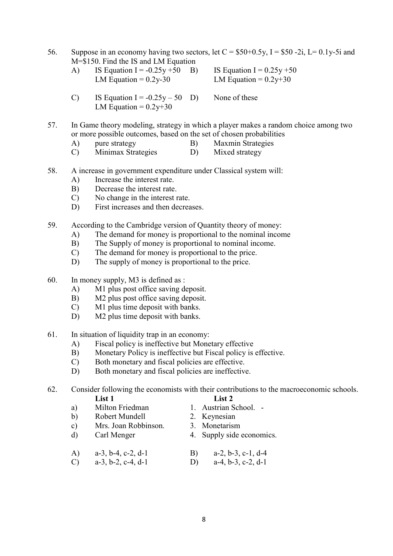- 56. Suppose in an economy having two sectors, let  $C = $50+0.5y$ , I = \$50 -2i, L = 0.1y-5i and M=\$150. Find the IS and LM Equation
	- A) IS Equation I =  $-0.25y +50$  B) IS Equation I =  $0.25y +50$ LM Equation =  $0.2y-30$  LM Equation =  $0.2y+30$

- C) IS Equation  $I = -0.25y 50$  D) None of these LM Equation =  $0.2y+30$
- 57. In Game theory modeling, strategy in which a player makes a random choice among two or more possible outcomes, based on the set of chosen probabilities
	- A) pure strategy B) Maxmin Strategies
	- C) Minimax Strategies D) Mixed strategy
- 58. A increase in government expenditure under Classical system will:
	- A) Increase the interest rate.
	- B) Decrease the interest rate.
	- C) No change in the interest rate.
	- D) First increases and then decreases.
- 59. According to the Cambridge version of Quantity theory of money:
	- A) The demand for money is proportional to the nominal income
	- B) The Supply of money is proportional to nominal income.
	- C) The demand for money is proportional to the price.
	- D) The supply of money is proportional to the price.
- 60. In money supply, M3 is defined as :
	- A) M1 plus post office saving deposit.
	- B) M2 plus post office saving deposit.
	- C) M1 plus time deposit with banks.
	- D) M2 plus time deposit with banks.
- 61. In situation of liquidity trap in an economy:
	- A) Fiscal policy is ineffective but Monetary effective
	- B) Monetary Policy is ineffective but Fiscal policy is effective.
	- C) Both monetary and fiscal policies are effective.
	- D) Both monetary and fiscal policies are ineffective.

62. Consider following the economists with their contributions to the macroeconomic schools. List 1 List 2

- a) Milton Friedman 1. Austrian School. b) Robert Mundell 2. Keynesian c) Mrs. Joan Robbinson. 3. Monetarism d) Carl Menger 4. Supply side economics. A) a-3, b-4, c-2, d-1 B) a-2, b-3, c-1, d-4 C) a-3, b-2, c-4, d-1 D) a-4, b-3, c-2, d-1
- 

8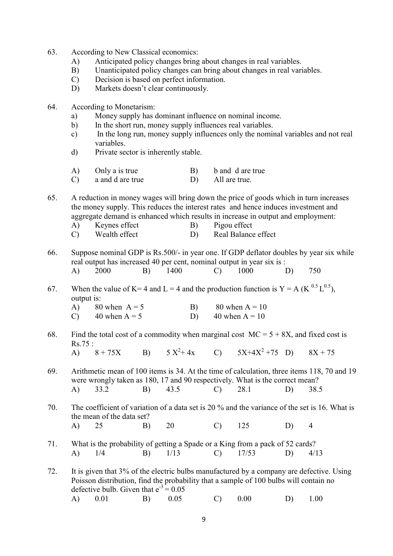- 63. According to New Classical economics:
	- A) Anticipated policy changes bring about changes in real variables.
	- B) Unanticipated policy changes can bring about changes in real variables.
	- C) Decision is based on perfect information.
	- D) Markets doesn't clear continuously.
- 64. According to Monetarism:
	- a) Money supply has dominant influence on nominal income.
	- b) In the short run, money supply influences real variables.
	- c) In the long run, money supply influences only the nominal variables and not real variables.
	- d) Private sector is inherently stable.
	- A) Only a is true B) b and d are true
	- C) a and d are true D) All are true.

65. A reduction in money wages will bring down the price of goods which in turn increases the money supply. This reduces the interest rates and hence induces investment and aggregate demand is enhanced which results in increase in output and employment:

- A) Keynes effect B) Pigou effect
- C) Wealth effect D) Real Balance effect
- 66. Suppose nominal GDP is Rs.500/- in year one. If GDP deflator doubles by year six while real output has increased 40 per cent, nominal output in year six is : A) 2000 B) 1400 C) 1000 D) 750
- 67. When the value of K= 4 and L = 4 and the production function is Y = A (K<sup>0.5</sup> L<sup>0.5</sup>), output is:
	- A) 80 when  $A = 5$  B) 80 when  $A = 10$ C)  $40 \text{ when } A = 5$  D)  $40 \text{ when } A = 10$
- 68. Find the total cost of a commodity when marginal cost  $MC = 5 + 8X$ , and fixed cost is Rs.75 : A)  $8 + 75X$  B)  $5 X^2 + 4X$  C)  $5X+4X^2+75$  D)  $8X + 75$
- 69. Arithmetic mean of 100 items is 34. At the time of calculation, three items 118, 70 and 19 were wrongly taken as 180, 17 and 90 respectively. What is the correct mean? A) 33.2 B) 43.5 C) 28.1 D) 38.5

70. The coefficient of variation of a data set is 20 % and the variance of the set is 16. What is the mean of the data set? A) 25 B) 20 C) 125 D) 4

71. What is the probability of getting a Spade or a King from a pack of 52 cards? A) 1/4 B) 1/13 C) 17/53 D) 4/13

72. It is given that 3% of the electric bulbs manufactured by a company are defective. Using Poisson distribution, find the probability that a sample of 100 bulbs will contain no defective bulb. Given that  $e^{-3} = 0.05$ A) 0.01 B) 0.05 C) 0.00 D) 1.00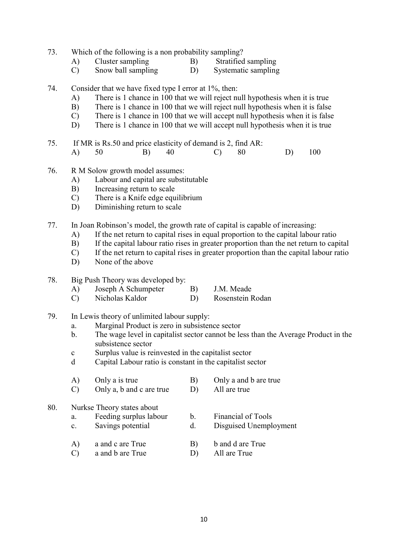- 73. Which of the following is a non probability sampling?
	- A) Cluster sampling B) Stratified sampling<br>C) Snow ball sampling D) Systematic sampling
	- C) Snow ball sampling D) Systematic sampling
- 74. Consider that we have fixed type I error at 1%, then:
	- A) There is 1 chance in 100 that we will reject null hypothesis when it is true
	- B) There is 1 chance in 100 that we will reject null hypothesis when it is false
	- C) There is 1 chance in 100 that we will accept null hypothesis when it is false
	- D) There is 1 chance in 100 that we will accept null hypothesis when it is true
- 75. If MR is Rs.50 and price elasticity of demand is 2, find AR: A) 50 B) 40 C) 80 D) 100
- 76. R M Solow growth model assumes:
	- A) Labour and capital are substitutable
	- B) Increasing return to scale
	- C) There is a Knife edge equilibrium
	- D) Diminishing return to scale
- 77. In Joan Robinson's model, the growth rate of capital is capable of increasing:
	- A) If the net return to capital rises in equal proportion to the capital labour ratio
	- B) If the capital labour ratio rises in greater proportion than the net return to capital
	- C) If the net return to capital rises in greater proportion than the capital labour ratio
	- D) None of the above

# 78. Big Push Theory was developed by:

- A) Joseph A Schumpeter B) J.M. Meade
- C) Nicholas Kaldor D) Rosenstein Rodan
- 79. In Lewis theory of unlimited labour supply:
	- a. Marginal Product is zero in subsistence sector
	- b. The wage level in capitalist sector cannot be less than the Average Product in the subsistence sector
	- c Surplus value is reinvested in the capitalist sector
	- d Capital Labour ratio is constant in the capitalist sector

|     | A)            | Only a is true             | B)             | Only a and b are true  |
|-----|---------------|----------------------------|----------------|------------------------|
|     |               | Only a, b and c are true   |                | All are true           |
| 80. |               | Nurkse Theory states about |                |                        |
|     | a.            | Feeding surplus labour     | $\mathbf{b}$ . | Financial of Tools     |
|     | c.            | Savings potential          | d.             | Disguised Unemployment |
|     | A)            | a and c are True           | B)             | b and d are True       |
|     | $\mathcal{C}$ | a and b are True           |                | All are True           |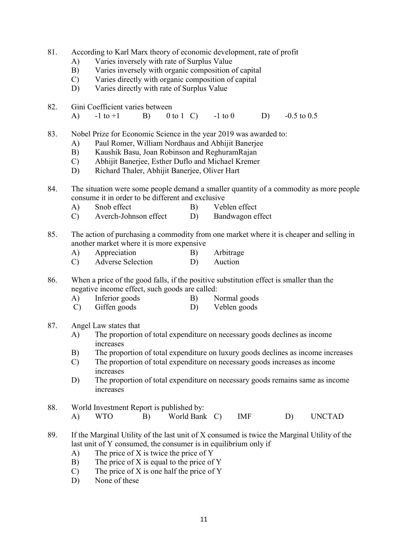- 81. According to Karl Marx theory of economic development, rate of profit
	- A) Varies inversely with rate of Surplus Value
	- B) Varies inversely with organic composition of capital
	- C) Varies directly with organic composition of capital
	- D) Varies directly with rate of Surplus Value
- 82. Gini Coefficient varies between
	- A)  $-1$  to  $+1$  B) 0 to 1 C)  $-1$  to 0 D)  $-0.5$  to 0.5
- 83. Nobel Prize for Economic Science in the year 2019 was awarded to:
	- A) Paul Romer, William Nordhaus and Abhijit Banerjee
	- B) Kaushik Basu, Joan Robinson and ReghuramRajan
	- C) Abhijit Banerjee, Esther Duflo and Michael Kremer
	- D) Richard Thaler, Abhijit Banerjee, Oliver Hart
- 84. The situation were some people demand a smaller quantity of a commodity as more people consume it in order to be different and exclusive
	- A) Snob effect B) Veblen effect
	- C) Averch-Johnson effect D) Bandwagon effect
- 85. The action of purchasing a commodity from one market where it is cheaper and selling in another market where it is more expensive
	- A) Appreciation B) Arbitrage
	- C) Adverse Selection D) Auction

86. When a price of the good falls, if the positive substitution effect is smaller than the negative income effect, such goods are called:

- A) Inferior goods B) Normal goods
- C) Giffen goods D) Veblen goods
- 87. Angel Law states that
	- A) The proportion of total expenditure on necessary goods declines as income increases
	- B) The proportion of total expenditure on luxury goods declines as income increases
	- C) The proportion of total expenditure on necessary goods increases as income increases
	- D) The proportion of total expenditure on necessary goods remains same as income increases
- 88. World Investment Report is published by: A) WTO B) World Bank C) IMF D) UNCTAD
- 89. If the Marginal Utility of the last unit of X consumed is twice the Marginal Utility of the last unit of Y consumed, the consumer is in equilibrium only if
	- A) The price of X is twice the price of Y
	- B) The price of X is equal to the price of Y
	- $(C)$  The price of X is one half the price of Y
	- D) None of these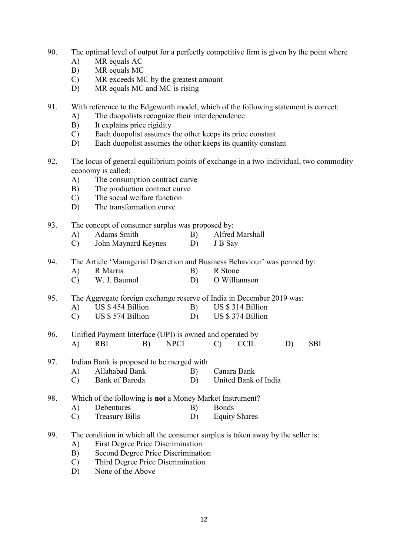- 90. The optimal level of output for a perfectly competitive firm is given by the point where
	- A) MR equals AC
	- B) MR equals MC
	- C) MR exceeds MC by the greatest amount
	- D) MR equals MC and MC is rising
- 91. With reference to the Edgeworth model, which of the following statement is correct:
	- A) The duopolists recognize their interdependence
	- B) It explains price rigidity
	- C) Each duopolist assumes the other keeps its price constant
	- D) Each duopolist assumes the other keeps its quantity constant
- 92. The locus of general equilibrium points of exchange in a two-individual, two commodity economy is called:
	- A) The consumption contract curve
	- B) The production contract curve
	- C) The social welfare function
	- D) The transformation curve

### 93. The concept of consumer surplus was proposed by:

| A) | Adams Smith         |    | Alfred Marshall |
|----|---------------------|----|-----------------|
|    | John Maynard Keynes | D) | J B Say         |

- 94. The Article 'Managerial Discretion and Business Behaviour' was penned by:
	- A) R Marris B) R Stone C) W. J. Baumol D) O Williamson
- 95. The Aggregate foreign exchange reserve of India in December 2019 was:

|              | 66 G                       |  |                            |
|--------------|----------------------------|--|----------------------------|
| $A^{\prime}$ | US \$454 Billion           |  | US \$ 314 Billion          |
|              |                            |  |                            |
|              | $TTC$ $A$ $F7$ $A$ $D'11'$ |  | $TTO$ $A$ $27$ $A$ $D'11'$ |

- C) US \$ 574 Billion D) US \$ 374 Billion
- 96. Unified Payment Interface (UPI) is owned and operated by A) RBI B) NPCI C) CCIL D) SBI
- 97. Indian Bank is proposed to be merged with
	- A) Allahabad Bank B) Canara Bank C) Bank of Baroda D) United Bank of India
- 98. Which of the following is not a Money Market Instrument?
	- A) Debentures B) Bonds
	- C) Treasury Bills D) Equity Shares
- 99. The condition in which all the consumer surplus is taken away by the seller is:
	- A) First Degree Price Discrimination
	- B) Second Degree Price Discrimination
	- C) Third Degree Price Discrimination
	- D) None of the Above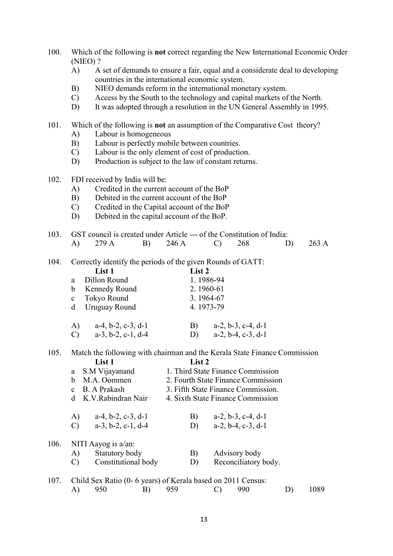- 100. Which of the following is not correct regarding the New International Economic Order (NIEO) ?
	- A) A set of demands to ensure a fair, equal and a considerate deal to developing countries in the international economic system.
	- B) NIEO demands reform in the international monetary system.
	- C) Access by the South to the technology and capital markets of the North.
	- D) It was adopted through a resolution in the UN General Assembly in 1995.

#### 101. Which of the following is not an assumption of the Comparative Cost theory?

- A) Labour is homogeneous
- B) Labour is perfectly mobile between countries.
- C) Labour is the only element of cost of production.
- D) Production is subject to the law of constant returns.
- 102. FDI received by India will be:
	- A) Credited in the current account of the BoP
	- B) Debited in the current account of the BoP
	- C) Credited in the Capital account of the BoP
	- D) Debited in the capital account of the BoP.
- 103. GST council is created under Article --- of the Constitution of India: A) 279 A B) 246 A C) 268 D) 263 A
- 104. Correctly identify the periods of the given Rounds of GATT:

|               | List 1                        | List 2                               |
|---------------|-------------------------------|--------------------------------------|
| a.            | Dillon Round                  | 1.1986-94                            |
| b             | <b>Kennedy Round</b>          | 2.1960-61                            |
| $\mathbf{c}$  | Tokyo Round                   | 3.1964-67                            |
| <sub>d</sub>  | Uruguay Round                 | 4.1973-79                            |
| A)            | $a-4, b-2, c-3, d-1$          | $a-2, b-3, c-4, d-1$<br>B)           |
| $\mathcal{C}$ | $a-3$ , $b-2$ , $c-1$ , $d-4$ | $a-2, b-4, c-3, d-1$<br>$\mathbf{D}$ |

105. Match the following with chairman and the Kerala State Finance Commission List 1 List 2

|      | a                      | S.M Vijayanand                | 1. Third State Finance Commission  |                               |
|------|------------------------|-------------------------------|------------------------------------|-------------------------------|
|      | h                      | M.A. Oommen                   | 2. Fourth State Finance Commission |                               |
|      |                        | B. A Prakash                  | 3. Fifth State Finance Commission. |                               |
|      | d K.V.Rabindran Nair   |                               | 4. Sixth State Finance Commission  |                               |
|      | A)                     | $a-4, b-2, c-3, d-1$          | B)                                 | $a-2, b-3, c-4, d-1$          |
|      | $\mathbf{C}$           | $a-3$ , $b-2$ , $c-1$ , $d-4$ | D)                                 | $a-2$ , $b-4$ , $c-3$ , $d-1$ |
| 106. | NITI Aayog is $a/an$ : |                               |                                    |                               |
|      | A)                     | Statutory body                | B)                                 | Advisory body                 |
|      |                        | Constitutional body           | D)                                 | Reconciliatory body.          |
|      |                        |                               |                                    |                               |

107. Child Sex Ratio (0- 6 years) of Kerala based on 2011 Census: A) 950 B) 959 C) 990 D) 1089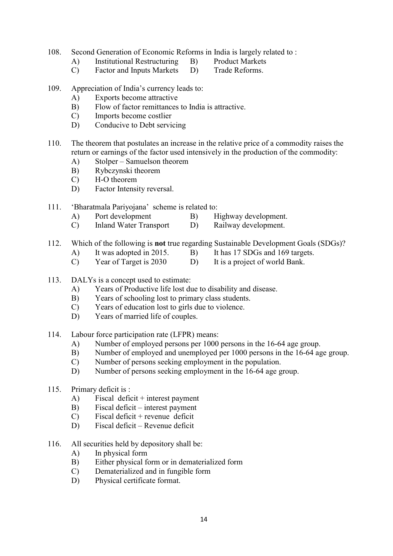- 108. Second Generation of Economic Reforms in India is largely related to :
	- A) Institutional Restructuring B) Product Markets<br>
	C) Factor and Inputs Markets D) Trade Reforms
		-
	- C) Factor and Inputs Markets D)
- 
- 109. Appreciation of India's currency leads to:
	- A) Exports become attractive
	- B) Flow of factor remittances to India is attractive.
	- C) Imports become costlier
	- D) Conducive to Debt servicing
- 110. The theorem that postulates an increase in the relative price of a commodity raises the return or earnings of the factor used intensively in the production of the commodity:
	- A) Stolper Samuelson theorem
	- B) Rybczynski theorem
	- C) H-O theorem
	- D) Factor Intensity reversal.

# 111. 'Bharatmala Pariyojana' scheme is related to:

- A) Port development B) Highway development.
- C) Inland Water Transport D) Railway development.
- 112. Which of the following is not true regarding Sustainable Development Goals (SDGs)?
	- A) It was adopted in 2015. B) It has 17 SDGs and 169 targets.
	- C) Year of Target is 2030 D) It is a project of world Bank.
- 113. DALYs is a concept used to estimate:
	- A) Years of Productive life lost due to disability and disease.
	- B) Years of schooling lost to primary class students.
	- C) Years of education lost to girls due to violence.
	- D) Years of married life of couples.
- 114. Labour force participation rate (LFPR) means:
	- A) Number of employed persons per 1000 persons in the 16-64 age group.
	- B) Number of employed and unemployed per 1000 persons in the 16-64 age group.
	- C) Number of persons seeking employment in the population.
	- D) Number of persons seeking employment in the 16-64 age group.
- 115. Primary deficit is :
	- A) Fiscal deficit + interest payment
	- B) Fiscal deficit interest payment
	- C) Fiscal deficit + revenue deficit
	- D) Fiscal deficit Revenue deficit
- 116. All securities held by depository shall be:
	- A) In physical form
	- B) Either physical form or in dematerialized form
	- C) Dematerialized and in fungible form
	- D) Physical certificate format.